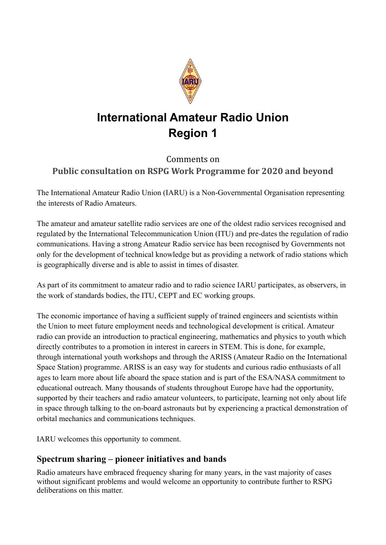

# **International Amateur Radio Union Region 1**

## Comments on **Public consultation on RSPG Work Programme for 2020 and beyond**

The International Amateur Radio Union (IARU) is a Non-Governmental Organisation representing the interests of Radio Amateurs.

The amateur and amateur satellite radio services are one of the oldest radio services recognised and regulated by the International Telecommunication Union (ITU) and pre-dates the regulation of radio communications. Having a strong Amateur Radio service has been recognised by Governments not only for the development of technical knowledge but as providing a network of radio stations which is geographically diverse and is able to assist in times of disaster.

As part of its commitment to amateur radio and to radio science IARU participates, as observers, in the work of standards bodies, the ITU, CEPT and EC working groups.

The economic importance of having a sufficient supply of trained engineers and scientists within the Union to meet future employment needs and technological development is critical. Amateur radio can provide an introduction to practical engineering, mathematics and physics to youth which directly contributes to a promotion in interest in careers in STEM. This is done, for example, through international youth workshops and through the ARISS (Amateur Radio on the International Space Station) programme. ARISS is an easy way for students and curious radio enthusiasts of all ages to learn more about life aboard the space station and is part of the ESA/NASA commitment to educational outreach. Many thousands of students throughout Europe have had the opportunity, supported by their teachers and radio amateur volunteers, to participate, learning not only about life in space through talking to the on-board astronauts but by experiencing a practical demonstration of orbital mechanics and communications techniques.

IARU welcomes this opportunity to comment.

## **Spectrum sharing – pioneer initiatives and bands**

Radio amateurs have embraced frequency sharing for many years, in the vast majority of cases without significant problems and would welcome an opportunity to contribute further to RSPG deliberations on this matter.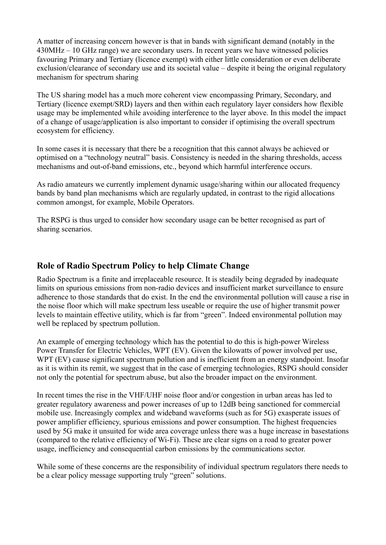A matter of increasing concern however is that in bands with significant demand (notably in the 430MHz – 10 GHz range) we are secondary users. In recent years we have witnessed policies favouring Primary and Tertiary (licence exempt) with either little consideration or even deliberate exclusion/clearance of secondary use and its societal value – despite it being the original regulatory mechanism for spectrum sharing

The US sharing model has a much more coherent view encompassing Primary, Secondary, and Tertiary (licence exempt/SRD) layers and then within each regulatory layer considers how flexible usage may be implemented while avoiding interference to the layer above. In this model the impact of a change of usage/application is also important to consider if optimising the overall spectrum ecosystem for efficiency.

In some cases it is necessary that there be a recognition that this cannot always be achieved or optimised on a "technology neutral" basis. Consistency is needed in the sharing thresholds, access mechanisms and out-of-band emissions, etc., beyond which harmful interference occurs.

As radio amateurs we currently implement dynamic usage/sharing within our allocated frequency bands by band plan mechanisms which are regularly updated, in contrast to the rigid allocations common amongst, for example, Mobile Operators.

The RSPG is thus urged to consider how secondary usage can be better recognised as part of sharing scenarios.

#### **Role of Radio Spectrum Policy to help Climate Change**

Radio Spectrum is a finite and irreplaceable resource. It is steadily being degraded by inadequate limits on spurious emissions from non-radio devices and insufficient market surveillance to ensure adherence to those standards that do exist. In the end the environmental pollution will cause a rise in the noise floor which will make spectrum less useable or require the use of higher transmit power levels to maintain effective utility, which is far from "green". Indeed environmental pollution may well be replaced by spectrum pollution.

An example of emerging technology which has the potential to do this is high-power Wireless Power Transfer for Electric Vehicles, WPT (EV). Given the kilowatts of power involved per use, WPT (EV) cause significant spectrum pollution and is inefficient from an energy standpoint. Insofar as it is within its remit, we suggest that in the case of emerging technologies, RSPG should consider not only the potential for spectrum abuse, but also the broader impact on the environment.

In recent times the rise in the VHF/UHF noise floor and/or congestion in urban areas has led to greater regulatory awareness and power increases of up to 12dB being sanctioned for commercial mobile use. Increasingly complex and wideband waveforms (such as for 5G) exasperate issues of power amplifier efficiency, spurious emissions and power consumption. The highest frequencies used by 5G make it unsuited for wide area coverage unless there was a huge increase in basestations (compared to the relative efficiency of Wi-Fi). These are clear signs on a road to greater power usage, inefficiency and consequential carbon emissions by the communications sector.

While some of these concerns are the responsibility of individual spectrum regulators there needs to be a clear policy message supporting truly "green" solutions.